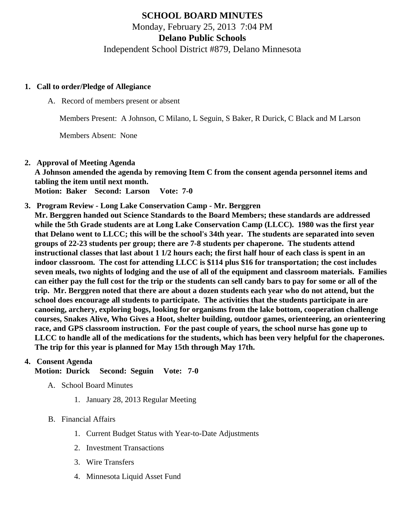# SCHOOL BOARD MINUTES Monday, February 25, 2013 7:04 PM Delano Public Schools Independent School District #879, Delano Minnesota

- 1. Call to order/Pledge of Allegiance
	- A. Record of members present or absent

Members Present: A Johnson, C Milano, L Seguin, S Baker, R Durick, C Black and M Larson

Members Absent: None

- 2. Approval of Meeting Agenda A Johnson amended the agenda by removing Item C from the consent agenda personnel items and tabling the item until next month. Motion: Baker Second: Larson Vote: 7-0
- 3. Program Review  [Long Lake Conservation Camp](/docs/DMS/Long_Lake_Conservation_Camp_Presentation.pdf) Mr. Berggren Mr. Berggren handed out Science Standards to the Board Members; these standards are addressed while the 5th Grade students are at Long Lake Conservation Camp (LLCC). 1980 was the first year that Delano went to LLCC; this will be the school's 34th year. The students are separated into seven groups of 22-23 students per group; there are 7-8 students per chaperone. The students attend instructional classes that last about 1 1/2 hours each; the first half hour of each class is spent in an indoor classroom. The cost for attending LLCC is \$114 plus \$16 for transportation; the cost includes seven meals, two nights of lodging and the use of all of the equipment and classroom materials. Families can either pay the full cost for the trip or the students can sell candy bars to pay for some or all of the trip. Mr. Berggren noted that there are about a dozen students each year who do not attend, but the school does encourage all students to participate. The activities that the students participate in are canoeing, archery, exploring bogs, looking for organisms from the lake bottom, cooperation challenge courses, Snakes Alive, Who Gives a Hoot, shelter building, outdoor games, orienteering, an orienteering race, and GPS classroom instruction. For the past couple of years, the school nurse has gone up to LLCC to handle all of the medications for the students, which has been very helpful for the chaperones. The trip for this year is planned for May 15th through May 17th.

#### 4. Consent Agenda

Motion: Durick Second: Seguin Vote: 7-0

- A. School Board Minutes
	- 1. [January 28, 201](/docs/district/Business_Office/1.28.13_Minutes.pdf)Regular Meeting
- B. Financial Affairs
	- 1. [Current Budget Statu](/docs/district/Business_Office/Budget_Report_Feb_2013.pdf)s ith Year-to-Date Adjustments
	- 2. [Investment Transactio](/docs/district/Business_Office/Investment_Schedule_2012-13.pdf   	)ns
	- 3. [Wire Transfer](/docs/district/Business_Office/Wire_Transfer.pdf )s
	- 4. [Minnesota Liquid Asset Fun](/docs/district/Business_Office/Liq_AFY13.pdf )d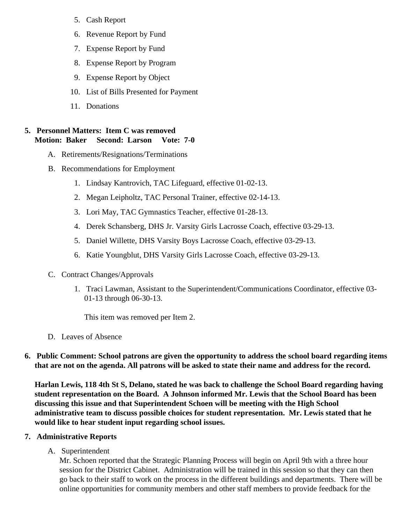- 5. [Cash Repo](/docs/district/Business_Office/Cash_Report.pdf)rt
- 6. [Revenue Report by Fu](/docs/district/Business_Office/REVENUE_BY_FUND_TOTAL.pdf)nd
- 7. [Expense Report by Fu](/docs/district/Business_Office/EXP_BY_FUND_TOTAL.pdf)nd
- 8. [Expense Report by Progra](/docs/district/Business_Office/EXPENDITURES_BY_PROGRAM.pdf)m
- 9. [Expense Report by Obje](/docs/district/Business_Office/EXPENDITURES_BY_OBJECT.pdf)ct
- 10. [List of Bills Presented for Payme](/docs/district/Business_Office/DETAIL_OF_MONTHLY_BILLS_PRESENTED_FOR_PAYMENT.pdf)nt
- 11. Donations
- 5. Personnel Matters: Item C was removed Motion: Baker Second: Larson Vote: 7-0
	- A. Retirements/Resignations/Terminations
	- B. Recommendations for Employment
		- 1. Lindsay Kantrovich, TAC Lifeguard, effective 01-02-13.
		- 2. Megan Leipholtz, TAC Personal Trainer, effective 02-14-13.
		- 3. Lori May, TAC Gymnastics Teacher, effective 01-28-13.
		- 4. Derek Schansberg, DHS Jr. Varsity Girls Lacrosse Coach, effective 03-29-13.
		- 5. Daniel Willette, DHS Varsity Boys Lacrosse Coach, effective 03-29-13.
		- 6. Katie Youngblut, DHS Varsity Girls Lacrosse Coach, effective 03-29-13.
	- C. Contract Changes/Approvals
		- 1. Traci Lawman, Assistant to the Superintendent/Communications Coordinator, effective 03- 01-13 through 06-30-13.

This item was removed per Item 2.

- D. Leaves of Absence
- 6. Public Comment: School patrons are given the opportunity to address the school board regarding items that are not on the agenda. All patrons will be asked to state their name and address for the record.

Harlan Lewis, 118 4th St S, Delano, stated he was back to challenge the School Board regarding having student representation on the Board. A Johnson informed Mr. Lewis that the School Board has been discussing this issue and that Superintendent Schoen will be meeting with the High School administrative team to discuss possible choices for student representation. Mr. Lewis stated that he would like to hear student input regarding school issues.

- 7. Administrative Reports
	- A. Superintendent

Mr. Schoen reported that the Strategic Planning Process will begin on April 9th with a three hour session for the District Cabinet. Administration will be trained in this session so that they can then go back to their staff to work on the process in the different buildings and departments. There will online opportunities for community members and other staff members to provide feedback for the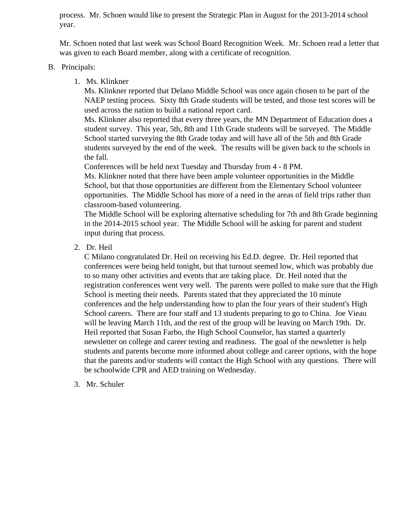process. Mr. Schoen would like to present the Strategic Plan in August for the 2013-2014 school year.

Mr. Schoen noted that last week was School Board Recognition Week. Mr. Schoen read a letter that was given to each Board member, along with a certificate of recognition.

#### B. Principals:

1. Ms. Klinkner

Ms. Klinkner reported that Delano Middle School was once again chosen to be part of the NAEP testing process. Sixty 8th Grade students will be tested, and those test scores will be used across the nation to build a national report card.

Ms. Klinkner also reported that every three years, the MN Department of Education does a student survey. This year, 5th, 8th and 11th Grade students will be surveyed. The Middle School started surveying the 8th Grade today and will have all of the 5th and 8th Grade students surveyed by the end of the week. The results will be given back to the schools in the fall.

Conferences will be held next Tuesday and Thursday from 4 - 8 PM.

Ms. Klinkner noted that there have been ample volunteer opportunities in the Middle School, but that those opportunities are different from the Elementary School volunteer opportunities. The Middle School has more of a need in the areas of field trips rather than classroom-based volunteering.

The Middle School will be exploring alternative scheduling for 7th and 8th Grade beginning in the 2014-2015 school year. The Middle School will be asking for parent and student input during that process.

2. Dr. Heil

C Milano congratulated Dr. Heil on receiving his Ed.D. degree. Dr. Heil reported that conferences were being held tonight, but that turnout seemed low, which was probably due to so many other activities and events that are taking place. Dr. Heil noted that the registration conferences went very well. The parents were polled to make sure that the High School is meeting their needs. Parents stated that they appreciated the 10 minute conferences and the help understanding how to plan the four years of their student's High School careers. There are four staff and 13 students preparing to go to China. Joe Vieau will be leaving March 11th, and the rest of the group will be leaving on March 19th. Dr. Heil reported that Susan Farbo, the High School Counselor, has started a quarterly newsletter on college and career testing and readiness. The goal of the newsletter is help students and parents become more informed about college and career options, with the hope that the parents and/or students will contact the High School with any questions. There will be schoolwide CPR and AED training on Wednesday.

3. Mr. Schuler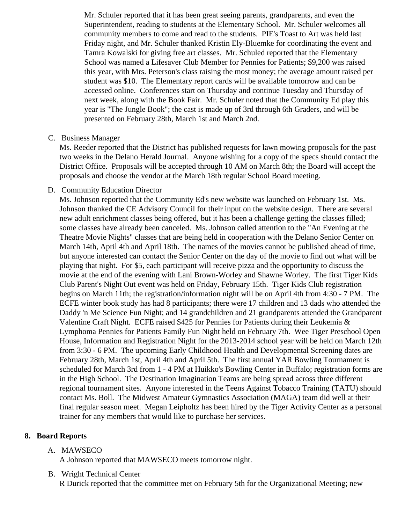Mr. Schuler reported that it has been great seeing parents, grandparents, and even the Superintendent, reading to students at the Elementary School. Mr. Schuler welcomes all community members to come and read to the students. PIE's Toast to Art was held last Friday night, and Mr. Schuler thanked Kristin Ely-Bluemke for coordinating the event and Tamra Kowalski for giving free art classes. Mr. Schuled reported that the Elementary School was named a Lifesaver Club Member for Pennies for Patients; \$9,200 was raised this year, with Mrs. Peterson's class raising the most money; the average amount raised pe student was \$10. The Elementary report cards will be available tomorrow and can be accessed online. Conferences start on Thursday and continue Tuesday and Thursday of next week, along with the Book Fair. Mr. Schuler noted that the Community Ed play this year is "The Jungle Book"; the cast is made up of 3rd through 6th Graders, and will be presented on February 28th, March 1st and March 2nd.

### C. Business Manager

Ms. Reeder reported that the District has published requests for lawn mowing proposals for the past two weeks in the Delano Herald Journal. Anyone wishing for a copy of the specs should contact the District Office. Proposals will be accepted through 10 AM on March 8th; the Board will accept the proposals and choose the vendor at the March 18th regular School Board meeting.

### D. Community Educatio[n Director](/docs/Community/School_Board_report_2013_February_CE.pdf)

Ms. Johnson reported that the Community Ed's new website was launched on February 1st. Ms. Johnson thanked the CE Advisory Council for their input on the website design. There are several new adult enrichment classes being offered, but it has been a challenge getting the classes filled; some classes have already been canceled. Ms. Johnson called attention to the "An Evening at the Theatre Movie Nights" classes that are being held in cooperation with the Delano Senior Center on March 14th, April 4th and April 18th. The names of the movies cannot be published ahead of time, but anyone interested can contact the Senior Center on the day of the movie to find out what will be playing that night. For \$5, each participant will receive pizza and the opportunity to discuss the movie at the end of the evening with Lani Brown-Worley and Shawne Worley. The first Tiger Kids Club Parent's Night Out event was held on Friday, February 15th. Tiger Kids Club registration begins on March 11th; the registration/information night will be on April 4th from 4:30 - 7 PM. The ECFE winter book study has had 8 participants; there were 17 children and 13 dads who attended Daddy 'n Me Science Fun Night; and 14 grandchildren and 21 grandparents attended the Grandpa Valentine Craft Night. ECFE raised \$425 for Pennies for Patients during their Leukemia & Lymphoma Pennies for Patients Family Fun Night held on February 7th. Wee Tiger Preschool Open House, Information and Registration Night for the 2013-2014 school year will be held on March 12t from 3:30 - 6 PM. The upcoming Early Childhood Health and Developmental Screening dates are February 28th, March 1st, April 4th and April 5th. The first annual YAR Bowling Tournament is scheduled for March 3rd from 1 - 4 PM at Huikko's Bowling Center in Buffalo; registration forms are in the High School. The Destination Imagination Teams are being spread across three different regional tournament sites. Anyone interested in the Teens Against Tobacco Training (TATU) shou contact Ms. Boll. The Midwest Amateur Gymnastics Association (MAGA) team did well at their final regular season meet. Megan Leipholtz has been hired by the Tiger Activity Center as a perso trainer for any members that would like to purchase her services.

## 8. Board Reports

## A. MAWSECO

A Johnson reported that MAWSECO meets tomorrow night.

## B. Wright Technical Center

R Durick reported that the committee met on February 5th for the Organizational Meeting; new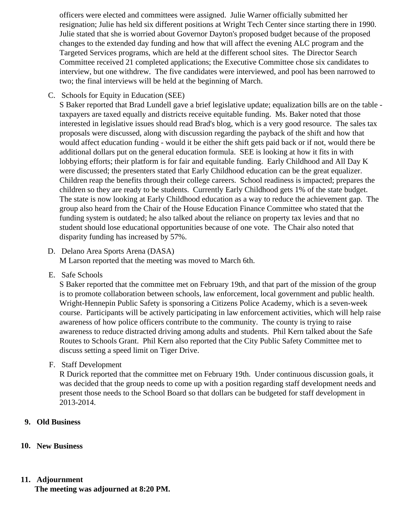officers were elected and committees were assigned. Julie Warner officially submitted her resignation; Julie has held six different positions at Wright Tech Center since starting there in 1990. Julie stated that she is worried about Governor Dayton's proposed budget because of the proposed changes to the extended day funding and how that will affect the evening ALC program and the Targeted Services programs, which are held at the different school sites. The Director Search Committee received 21 completed applications; the Executive Committee chose six candidates to interview, but one withdrew. The five candidates were interviewed, and pool has been narrowed to two; the final interviews will be held at the beginning of March.

C. Schools for Equity in Education (SEE)

S Baker reported that Brad Lundell gave a brief legislative update; equalization bills are on the table taxpayers are taxed equally and districts receive equitable funding. Ms. Baker noted that those interested in legislative issues should read Brad's blog, which is a very good resource. The sales tax proposals were discussed, along with discussion regarding the payback of the shift and how that would affect education funding - would it be either the shift gets paid back or if not, would there be additional dollars put on the general education formula. SEE is looking at how it fits in with lobbying efforts; their platform is for fair and equitable funding. Early Childhood and All Day K were discussed; the presenters stated that Early Childhood education can be the great equalizer. Children reap the benefits through their college careers. School readiness is impacted; prepares the children so they are ready to be students. Currently Early Childhood gets 1% of the state budget. The state is now looking at Early Childhood education as a way to reduce the achievement gap. The group also heard from the Chair of the House Education Finance Committee who stated that the funding system is outdated; he also talked about the reliance on property tax levies and that no student should lose educational opportunities because of one vote. The Chair also noted that disparity funding has increased by 57%.

- D. Delano Area Sports Arena (DASA) M Larson reported that the meeting was moved to March 6th.
- E. Safe Schools

S Baker reported that the committee met on February 19th, and that part of the mission of the group is to promote collaboration between schools, law enforcement, local government and public health. Wright-Hennepin Public Safety is sponsoring a Citizens Police Academy, which is a seven-week course. Participants will be actively participating in law enforcement activities, which will help raise awareness of how police officers contribute to the community. The county is trying to raise awareness to reduce distracted driving among adults and students. Phil Kern talked about the Safe Routes to Schools Grant. Phil Kern also reported that the City Public Safety Committee met to discuss setting a speed limit on Tiger Drive.

F. Staff Development

R Durick reported that the committee met on February 19th. Under continuous discussion goals, it was decided that the group needs to come up with a position regarding staff development needs and present those needs to the School Board so that dollars can be budgeted for staff development in 2013-2014.

#### **9. Old Business**

#### **10. New Business**

#### **11. Adjournment**

**The meeting was adjourned at 8:20 PM.**